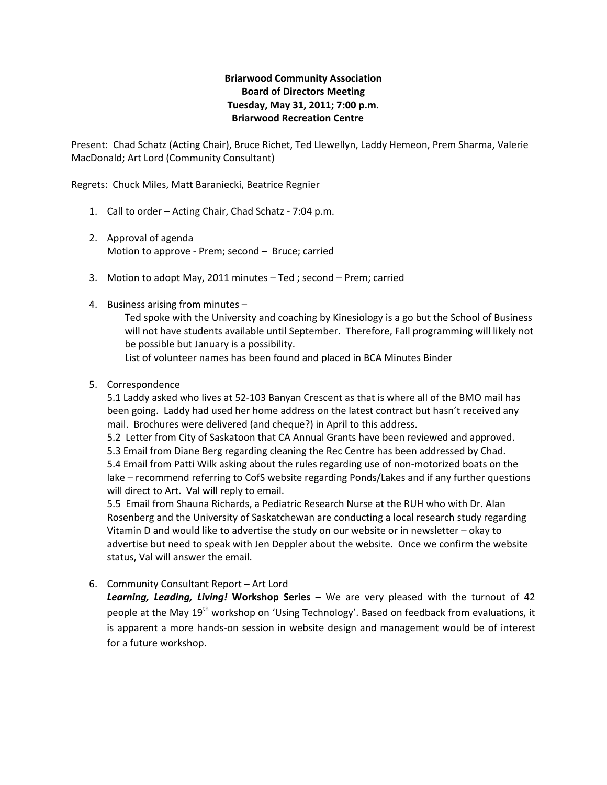## **Briarwood Community Association Board of Directors Meeting Tuesday, May 31, 2011; 7:00 p.m. Briarwood Recreation Centre**

Present: Chad Schatz (Acting Chair), Bruce Richet, Ted Llewellyn, Laddy Hemeon, Prem Sharma, Valerie MacDonald; Art Lord (Community Consultant)

Regrets: Chuck Miles, Matt Baraniecki, Beatrice Regnier

- 1. Call to order Acting Chair, Chad Schatz ‐ 7:04 p.m.
- 2. Approval of agenda Motion to approve ‐ Prem; second – Bruce; carried
- 3. Motion to adopt May, 2011 minutes Ted ; second Prem; carried
- 4. Business arising from minutes –

Ted spoke with the University and coaching by Kinesiology is a go but the School of Business will not have students available until September. Therefore, Fall programming will likely not be possible but January is a possibility.

List of volunteer names has been found and placed in BCA Minutes Binder

5. Correspondence

5.1 Laddy asked who lives at 52‐103 Banyan Crescent as that is where all of the BMO mail has been going. Laddy had used her home address on the latest contract but hasn't received any mail. Brochures were delivered (and cheque?) in April to this address.

5.2 Letter from City of Saskatoon that CA Annual Grants have been reviewed and approved. 5.3 Email from Diane Berg regarding cleaning the Rec Centre has been addressed by Chad. 5.4 Email from Patti Wilk asking about the rules regarding use of non-motorized boats on the lake – recommend referring to CofS website regarding Ponds/Lakes and if any further questions will direct to Art. Val will reply to email.

5.5 Email from Shauna Richards, a Pediatric Research Nurse at the RUH who with Dr. Alan Rosenberg and the University of Saskatchewan are conducting a local research study regarding Vitamin D and would like to advertise the study on our website or in newsletter – okay to advertise but need to speak with Jen Deppler about the website. Once we confirm the website status, Val will answer the email.

6. Community Consultant Report – Art Lord

*Learning, Leading, Living!* **Workshop Series –** We are very pleased with the turnout of 42 people at the May 19<sup>th</sup> workshop on 'Using Technology'. Based on feedback from evaluations, it is apparent a more hands‐on session in website design and management would be of interest for a future workshop.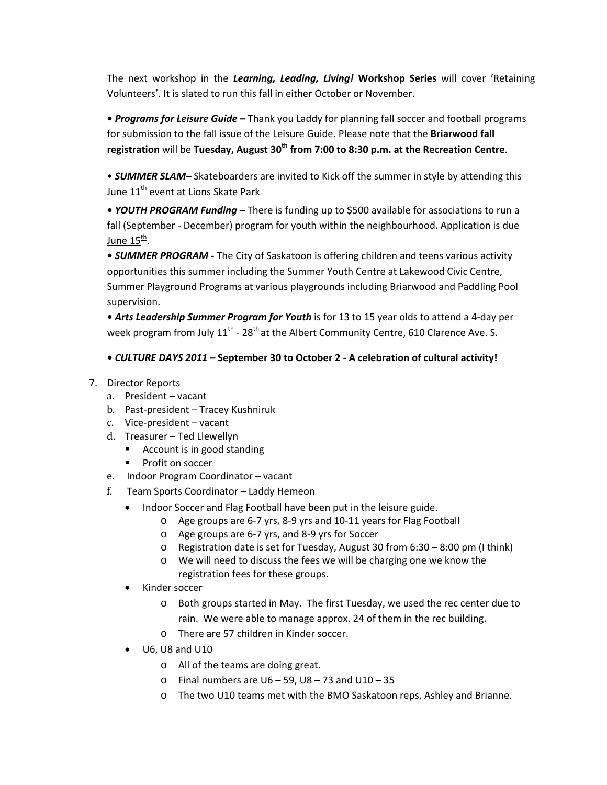The next workshop in the *Learning, Leading, Living!* **Workshop Series** will cover 'Retaining Volunteers'. It is slated to run this fall in either October or November.

**•** *Programs for Leisure Guide –* Thank you Laddy for planning fall soccer and football programs for submission to the fall issue of the Leisure Guide. Please note that the **Briarwood fall registration** will be **Tuesday, August 30th from 7:00 to 8:30 p.m. at the Recreation Centre**.

• *SUMMER SLAM–* Skateboarders are invited to Kick off the summer in style by attending this June 11<sup>th</sup> event at Lions Skate Park

**•** *YOUTH PROGRAM Funding –* There is funding up to \$500 available for associations to run a fall (September - December) program for youth within the neighbourhood. Application is due June 15<sup>th</sup>.

**•** *SUMMER PROGRAM ‐* The City of Saskatoon is offering children and teens various activity opportunities this summer including the Summer Youth Centre at Lakewood Civic Centre, Summer Playground Programs at various playgrounds including Briarwood and Paddling Pool supervision.

**•** *Arts Leadership Summer Program for Youth* is for 13 to 15 year olds to attend a 4‐day per week program from July  $11^{th}$  - 28<sup>th</sup> at the Albert Community Centre, 610 Clarence Ave. S.

## **•** *CULTURE DAYS 2011 –* **September 30 to October 2 ‐ A celebration of cultural activity!**

- 7. Director Reports
	- a. President vacant
	- b. Past-president Tracey Kushniruk
	- c. Vice-president vacant
	- d. Treasurer Ted Llewellyn
		- Account is in good standing
		- **Profit on soccer**
	- e. Indoor Program Coordinator vacant
	- f. Team Sports Coordinator Laddy Hemeon
		- Indoor Soccer and Flag Football have been put in the leisure guide.
			- o Age groups are 6‐7 yrs, 8‐9 yrs and 10‐11 years for Flag Football
			- o Age groups are 6‐7 yrs, and 8‐9 yrs for Soccer
			- o Registration date is set for Tuesday, August 30 from 6:30 8:00 pm (I think)
			- o We will need to discuss the fees we will be charging one we know the registration fees for these groups.
		- Kinder soccer
			- o Both groups started in May. The first Tuesday, we used the rec center due to rain. We were able to manage approx. 24 of them in the rec building.
			- o There are 57 children in Kinder soccer.
		- U6, U8 and U10
			- o All of the teams are doing great.
			- $\circ$  Final numbers are U6 59, U8 73 and U10 35
			- o The two U10 teams met with the BMO Saskatoon reps, Ashley and Brianne.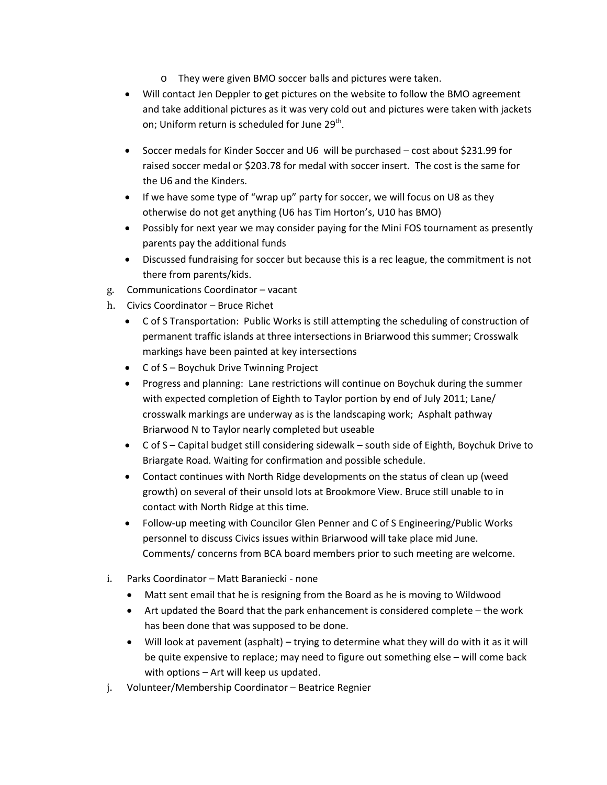- o They were given BMO soccer balls and pictures were taken.
- Will contact Jen Deppler to get pictures on the website to follow the BMO agreement and take additional pictures as it was very cold out and pictures were taken with jackets on; Uniform return is scheduled for June  $29<sup>th</sup>$ .
- Soccer medals for Kinder Soccer and U6 will be purchased cost about \$231.99 for raised soccer medal or \$203.78 for medal with soccer insert. The cost is the same for the U6 and the Kinders.
- If we have some type of "wrap up" party for soccer, we will focus on U8 as they otherwise do not get anything (U6 has Tim Horton's, U10 has BMO)
- Possibly for next year we may consider paying for the Mini FOS tournament as presently parents pay the additional funds
- Discussed fundraising for soccer but because this is a rec league, the commitment is not there from parents/kids.
- g. Communications Coordinator vacant
- h. Civics Coordinator Bruce Richet
	- C of S Transportation: Public Works is still attempting the scheduling of construction of permanent traffic islands at three intersections in Briarwood this summer; Crosswalk markings have been painted at key intersections
	- C of S Boychuk Drive Twinning Project
	- Progress and planning: Lane restrictions will continue on Boychuk during the summer with expected completion of Eighth to Taylor portion by end of July 2011; Lane/ crosswalk markings are underway as is the landscaping work; Asphalt pathway Briarwood N to Taylor nearly completed but useable
	- C of S Capital budget still considering sidewalk south side of Eighth, Boychuk Drive to Briargate Road. Waiting for confirmation and possible schedule.
	- Contact continues with North Ridge developments on the status of clean up (weed growth) on several of their unsold lots at Brookmore View. Bruce still unable to in contact with North Ridge at this time.
	- Follow‐up meeting with Councilor Glen Penner and C of S Engineering/Public Works personnel to discuss Civics issues within Briarwood will take place mid June. Comments/ concerns from BCA board members prior to such meeting are welcome.
- i. Parks Coordinator Matt Baraniecki ‐ none
	- Matt sent email that he is resigning from the Board as he is moving to Wildwood
	- Art updated the Board that the park enhancement is considered complete the work has been done that was supposed to be done.
	- Will look at pavement (asphalt) trying to determine what they will do with it as it will be quite expensive to replace; may need to figure out something else – will come back with options – Art will keep us updated.
- j. Volunteer/Membership Coordinator Beatrice Regnier